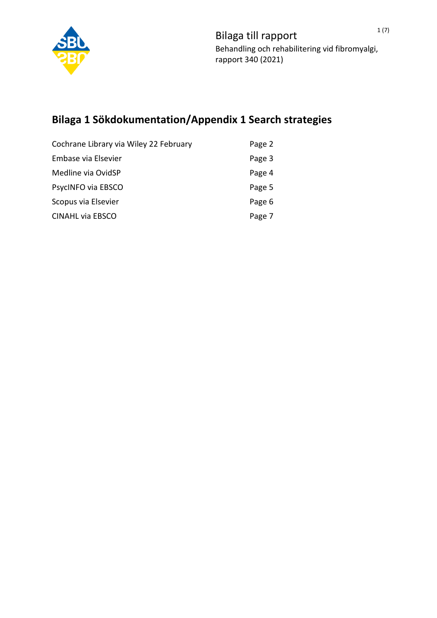

# **Bilaga 1 Sökdokumentation/Appendix 1 Search strategies**

| Cochrane Library via Wiley 22 February | Page 2 |
|----------------------------------------|--------|
| Embase via Elsevier                    | Page 3 |
| Medline via OvidSP                     | Page 4 |
| PsycINFO via EBSCO                     | Page 5 |
| Scopus via Elsevier                    | Page 6 |
| <b>CINAHL via EBSCO</b>                | Page 7 |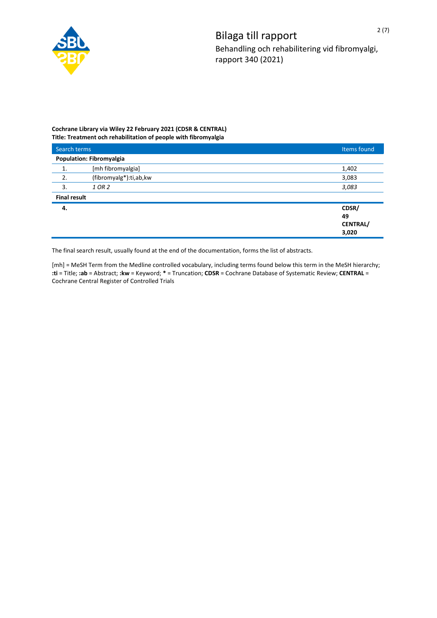

## **Cochrane Library via Wiley 22 February 2021 (CDSR & CENTRAL) Title: Treatment och rehabilitation of people with fibromyalgia**

| Search terms        |                                 | Items found     |  |
|---------------------|---------------------------------|-----------------|--|
|                     | <b>Population: Fibromyalgia</b> |                 |  |
| 1.                  | [mh fibromyalgia]               | 1,402           |  |
| 2.                  | (fibromyalg*):ti,ab,kw          | 3,083           |  |
| 3.                  | 1 OR 2                          | 3,083           |  |
| <b>Final result</b> |                                 |                 |  |
| 4.                  |                                 | CDSR/           |  |
|                     |                                 | 49              |  |
|                     |                                 | <b>CENTRAL/</b> |  |
|                     |                                 | 3,020           |  |

The final search result, usually found at the end of the documentation, forms the list of abstracts.

[mh] = MeSH Term from the Medline controlled vocabulary, including terms found below this term in the MeSH hierarchy; **:ti** = Title; **:ab** = Abstract; **:kw** = Keyword; **\*** = Truncation; **CDSR** = Cochrane Database of Systematic Review; **CENTRAL** = Cochrane Central Register of Controlled Trials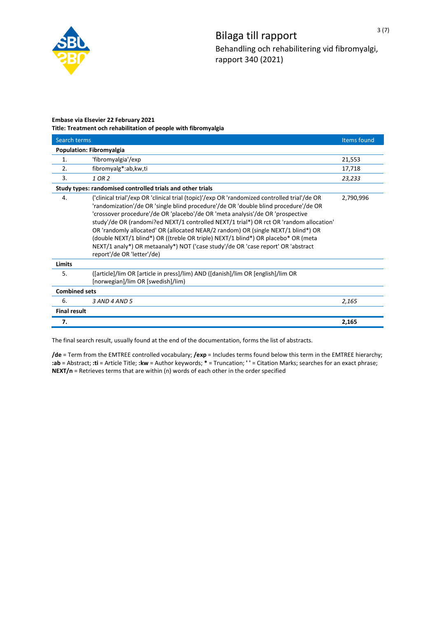

# **Embase via Elsevier 22 February 2021 Title: Treatment och rehabilitation of people with fibromyalgia**

| Search terms             |                                                                                                                                                                                                                                                                                                                                                                                                                                                                                                                                                                                                                                                              | Items found |  |
|--------------------------|--------------------------------------------------------------------------------------------------------------------------------------------------------------------------------------------------------------------------------------------------------------------------------------------------------------------------------------------------------------------------------------------------------------------------------------------------------------------------------------------------------------------------------------------------------------------------------------------------------------------------------------------------------------|-------------|--|
| Population: Fibromyalgia |                                                                                                                                                                                                                                                                                                                                                                                                                                                                                                                                                                                                                                                              |             |  |
| 1.                       | 'fibromyalgia'/exp                                                                                                                                                                                                                                                                                                                                                                                                                                                                                                                                                                                                                                           | 21,553      |  |
| 2.                       | fibromyalg*:ab,kw,ti                                                                                                                                                                                                                                                                                                                                                                                                                                                                                                                                                                                                                                         | 17,718      |  |
| 3.                       | 1 OR 2                                                                                                                                                                                                                                                                                                                                                                                                                                                                                                                                                                                                                                                       | 23,233      |  |
|                          | Study types: randomised controlled trials and other trials                                                                                                                                                                                                                                                                                                                                                                                                                                                                                                                                                                                                   |             |  |
| 4.                       | ('clinical trial'/exp OR 'clinical trial (topic)'/exp OR 'randomized controlled trial'/de OR<br>'randomization'/de OR 'single blind procedure'/de OR 'double blind procedure'/de OR<br>'crossover procedure'/de OR 'placebo'/de OR 'meta analysis'/de OR 'prospective<br>study'/de OR (randomi?ed NEXT/1 controlled NEXT/1 trial*) OR rct OR 'random allocation'<br>OR 'randomly allocated' OR (allocated NEAR/2 random) OR (single NEXT/1 blind*) OR<br>(double NEXT/1 blind*) OR ((treble OR triple) NEXT/1 blind*) OR placebo* OR (meta<br>NEXT/1 analy*) OR metaanaly*) NOT ('case study'/de OR 'case report' OR 'abstract<br>report'/de OR 'letter'/de) | 2,790,996   |  |
| Limits                   |                                                                                                                                                                                                                                                                                                                                                                                                                                                                                                                                                                                                                                                              |             |  |
| 5.                       | ([article]/lim OR [article in press]/lim) AND ([danish]/lim OR [english]/lim OR<br>[norwegian]/lim OR [swedish]/lim)                                                                                                                                                                                                                                                                                                                                                                                                                                                                                                                                         |             |  |
|                          | <b>Combined sets</b>                                                                                                                                                                                                                                                                                                                                                                                                                                                                                                                                                                                                                                         |             |  |
| 6.                       | 3 AND 4 AND 5                                                                                                                                                                                                                                                                                                                                                                                                                                                                                                                                                                                                                                                | 2,165       |  |
| <b>Final result</b>      |                                                                                                                                                                                                                                                                                                                                                                                                                                                                                                                                                                                                                                                              |             |  |
| 7.                       |                                                                                                                                                                                                                                                                                                                                                                                                                                                                                                                                                                                                                                                              | 2,165       |  |

The final search result, usually found at the end of the documentation, forms the list of abstracts.

**/de** = Term from the EMTREE controlled vocabulary; **/exp** = Includes terms found below this term in the EMTREE hierarchy; **:ab** = Abstract; **:ti** = Article Title; **:kw** = Author keywords; **\*** = Truncation; **' '** = Citation Marks; searches for an exact phrase; **NEXT/n** = Retrieves terms that are within (n) words of each other in the order specified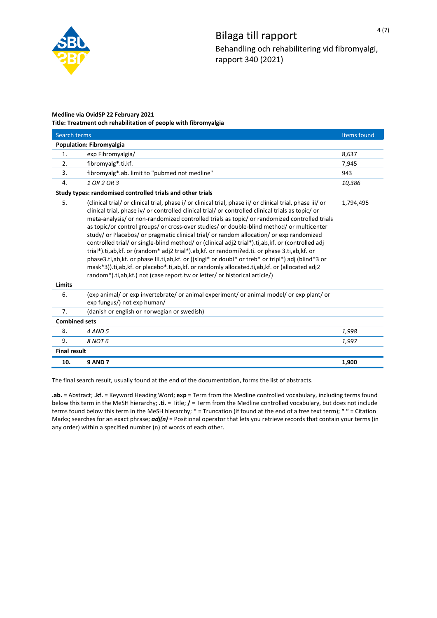

# **Medline via OvidSP 22 February 2021**

**Title: Treatment och rehabilitation of people with fibromyalgia**

| Search terms             |                                                                                                                                                                                                                                                                                                                                                                                                                                                                                                                                                                                                                                                                                                                                                                                                                                                                                                                                                                                                             | Items found |
|--------------------------|-------------------------------------------------------------------------------------------------------------------------------------------------------------------------------------------------------------------------------------------------------------------------------------------------------------------------------------------------------------------------------------------------------------------------------------------------------------------------------------------------------------------------------------------------------------------------------------------------------------------------------------------------------------------------------------------------------------------------------------------------------------------------------------------------------------------------------------------------------------------------------------------------------------------------------------------------------------------------------------------------------------|-------------|
| Population: Fibromyalgia |                                                                                                                                                                                                                                                                                                                                                                                                                                                                                                                                                                                                                                                                                                                                                                                                                                                                                                                                                                                                             |             |
| 1.                       | exp Fibromyalgia/                                                                                                                                                                                                                                                                                                                                                                                                                                                                                                                                                                                                                                                                                                                                                                                                                                                                                                                                                                                           | 8,637       |
| 2.                       | fibromyalg*.ti,kf.                                                                                                                                                                                                                                                                                                                                                                                                                                                                                                                                                                                                                                                                                                                                                                                                                                                                                                                                                                                          | 7,945       |
| 3.                       | fibromyalg*.ab. limit to "pubmed not medline"                                                                                                                                                                                                                                                                                                                                                                                                                                                                                                                                                                                                                                                                                                                                                                                                                                                                                                                                                               | 943         |
| 4.                       | 1 OR 2 OR 3                                                                                                                                                                                                                                                                                                                                                                                                                                                                                                                                                                                                                                                                                                                                                                                                                                                                                                                                                                                                 | 10,386      |
|                          | Study types: randomised controlled trials and other trials                                                                                                                                                                                                                                                                                                                                                                                                                                                                                                                                                                                                                                                                                                                                                                                                                                                                                                                                                  |             |
| 5.                       | (clinical trial/ or clinical trial, phase i/ or clinical trial, phase ii/ or clinical trial, phase iii/ or<br>clinical trial, phase iv/ or controlled clinical trial/ or controlled clinical trials as topic/ or<br>meta-analysis/ or non-randomized controlled trials as topic/ or randomized controlled trials<br>as topic/or control groups/ or cross-over studies/ or double-blind method/ or multicenter<br>study/ or Placebos/ or pragmatic clinical trial/ or random allocation/ or exp randomized<br>controlled trial/ or single-blind method/ or (clinical adj2 trial*).ti,ab,kf. or (controlled adj<br>trial*).ti,ab,kf. or (random* adj2 trial*).ab,kf. or randomi?ed.ti. or phase 3.ti,ab,kf. or<br>phase3.ti,ab,kf. or phase III.ti,ab,kf. or ((singl* or doubl* or treb* or tripl*) adj (blind*3 or<br>mask*3)).ti,ab,kf. or placebo*.ti,ab,kf. or randomly allocated.ti,ab,kf. or (allocated adj2<br>random <sup>*</sup> ).ti,ab,kf.) not (case report.tw or letter/ or historical article/) | 1,794,495   |
| <b>Limits</b>            |                                                                                                                                                                                                                                                                                                                                                                                                                                                                                                                                                                                                                                                                                                                                                                                                                                                                                                                                                                                                             |             |
| 6.                       | (exp animal/ or exp invertebrate/ or animal experiment/ or animal model/ or exp plant/ or<br>exp fungus/) not exp human/                                                                                                                                                                                                                                                                                                                                                                                                                                                                                                                                                                                                                                                                                                                                                                                                                                                                                    |             |
| 7.                       | (danish or english or norwegian or swedish)                                                                                                                                                                                                                                                                                                                                                                                                                                                                                                                                                                                                                                                                                                                                                                                                                                                                                                                                                                 |             |
| <b>Combined sets</b>     |                                                                                                                                                                                                                                                                                                                                                                                                                                                                                                                                                                                                                                                                                                                                                                                                                                                                                                                                                                                                             |             |
| 8.                       | 4 AND 5                                                                                                                                                                                                                                                                                                                                                                                                                                                                                                                                                                                                                                                                                                                                                                                                                                                                                                                                                                                                     | 1,998       |
| 9.                       | 8 NOT 6                                                                                                                                                                                                                                                                                                                                                                                                                                                                                                                                                                                                                                                                                                                                                                                                                                                                                                                                                                                                     | 1,997       |
| <b>Final result</b>      |                                                                                                                                                                                                                                                                                                                                                                                                                                                                                                                                                                                                                                                                                                                                                                                                                                                                                                                                                                                                             |             |
| 10.                      | <b>9 AND 7</b>                                                                                                                                                                                                                                                                                                                                                                                                                                                                                                                                                                                                                                                                                                                                                                                                                                                                                                                                                                                              | 1,900       |

The final search result, usually found at the end of the documentation, forms the list of abstracts.

**.ab.** = Abstract; **.kf.** = Keyword Heading Word; **exp** = Term from the Medline controlled vocabulary, including terms found below this term in the MeSH hierarchy; **.ti.** = Title; **/** = Term from the Medline controlled vocabulary, but does not include terms found below this term in the MeSH hierarchy; **\*** = Truncation (if found at the end of a free text term); **" "** = Citation Marks; searches for an exact phrase; *adj(n)* = Positional operator that lets you retrieve records that contain your terms (in any order) within a specified number (n) of words of each other.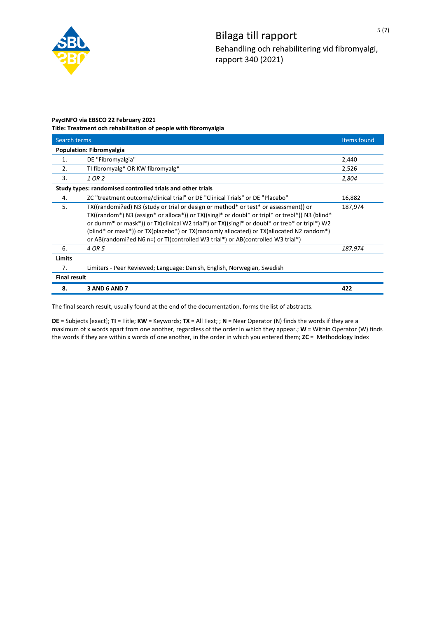

# **PsycINFO via EBSCO 22 February 2021 Title: Treatment och rehabilitation of people with fibromyalgia**

| Search terms                                               |                                                                                                                                                                                                                                                                                                                                                                                                                                                                      | Items found |
|------------------------------------------------------------|----------------------------------------------------------------------------------------------------------------------------------------------------------------------------------------------------------------------------------------------------------------------------------------------------------------------------------------------------------------------------------------------------------------------------------------------------------------------|-------------|
| <b>Population: Fibromyalgia</b>                            |                                                                                                                                                                                                                                                                                                                                                                                                                                                                      |             |
| 1.                                                         | DE "Fibromyalgia"                                                                                                                                                                                                                                                                                                                                                                                                                                                    | 2,440       |
| 2.                                                         | TI fibromyalg* OR KW fibromyalg*                                                                                                                                                                                                                                                                                                                                                                                                                                     | 2,526       |
| 3.                                                         | 1 OR 2                                                                                                                                                                                                                                                                                                                                                                                                                                                               | 2,804       |
| Study types: randomised controlled trials and other trials |                                                                                                                                                                                                                                                                                                                                                                                                                                                                      |             |
| 4.                                                         | ZC "treatment outcome/clinical trial" or DE "Clinical Trials" or DE "Placebo"                                                                                                                                                                                                                                                                                                                                                                                        | 16,882      |
| 5.                                                         | TX((randomi?ed) N3 (study or trial or design or method* or test* or assessment)) or<br>TX((random*) N3 (assign* or alloca*)) or TX((singl* or doubl* or tripl* or trebl*)) N3 (blind*<br>or dumm* or mask*)) or TX(clinical W2 trial*) or TX((singl* or doubl* or treb* or tripl*) W2<br>(blind* or mask*)) or TX(placebo*) or TX(randomly allocated) or TX(allocated N2 random*)<br>or AB(randomi?ed N6 n=) or TI(controlled W3 trial*) or AB(controlled W3 trial*) | 187,974     |
| 6.                                                         | 4 OR 5                                                                                                                                                                                                                                                                                                                                                                                                                                                               | 187,974     |
| <b>Limits</b>                                              |                                                                                                                                                                                                                                                                                                                                                                                                                                                                      |             |
| 7.                                                         | Limiters - Peer Reviewed; Language: Danish, English, Norwegian, Swedish                                                                                                                                                                                                                                                                                                                                                                                              |             |
| <b>Final result</b>                                        |                                                                                                                                                                                                                                                                                                                                                                                                                                                                      |             |
| 8.                                                         | <b>3 AND 6 AND 7</b>                                                                                                                                                                                                                                                                                                                                                                                                                                                 | 422         |

The final search result, usually found at the end of the documentation, forms the list of abstracts.

**DE** = Subjects [exact]; **TI** = Title; **KW** = Keywords; **TX** = All Text; ; **N** = Near Operator (N) finds the words if they are a maximum of x words apart from one another, regardless of the order in which they appear.; **W** = Within Operator (W) finds the words if they are within x words of one another, in the order in which you entered them; **ZC** = Methodology Index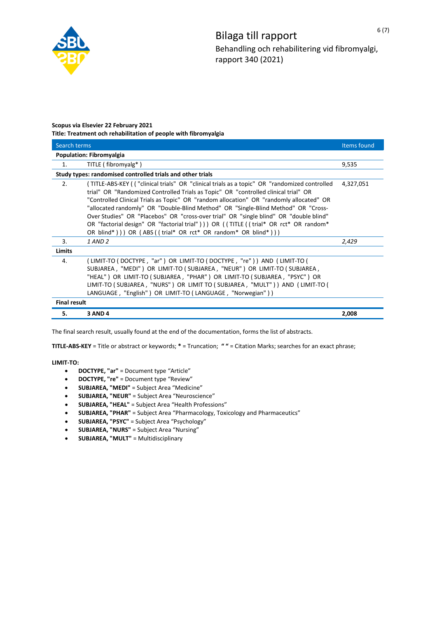

### **Scopus via Elsevier 22 February 2021 Title: Treatment och rehabilitation of people with fibromyalgia**

| Search terms                    |                                                                                                                                                                                                                                                                                                                                                                                                                                                                                                                                                                                                                         | Items found |
|---------------------------------|-------------------------------------------------------------------------------------------------------------------------------------------------------------------------------------------------------------------------------------------------------------------------------------------------------------------------------------------------------------------------------------------------------------------------------------------------------------------------------------------------------------------------------------------------------------------------------------------------------------------------|-------------|
| <b>Population: Fibromyalgia</b> |                                                                                                                                                                                                                                                                                                                                                                                                                                                                                                                                                                                                                         |             |
| 1.                              | TITLE (fibromyalg*)                                                                                                                                                                                                                                                                                                                                                                                                                                                                                                                                                                                                     | 9,535       |
|                                 | Study types: randomised controlled trials and other trials                                                                                                                                                                                                                                                                                                                                                                                                                                                                                                                                                              |             |
| 2.                              | (TITLE-ABS-KEY (("clinical trials" OR "clinical trials as a topic" OR "randomized controlled<br>trial" OR "Randomized Controlled Trials as Topic" OR "controlled clinical trial" OR<br>"Controlled Clinical Trials as Topic" OR "random allocation" OR "randomly allocated" OR<br>"allocated randomly" OR "Double-Blind Method" OR "Single-Blind Method" OR "Cross-<br>Over Studies" OR "Placebos" OR "cross-over trial" OR "single blind" OR "double blind"<br>OR "factorial design" OR "factorial trial" ) ) OR ((TITLE ((trial* OR rct* OR random*<br>OR blind*))) OR $(ABS((trial* OR rct* OR random* OR blind*)))$ | 4,327,051   |
| 3.                              | $1$ AND $2$                                                                                                                                                                                                                                                                                                                                                                                                                                                                                                                                                                                                             | 2,429       |
| <b>Limits</b>                   |                                                                                                                                                                                                                                                                                                                                                                                                                                                                                                                                                                                                                         |             |
| 4.                              | ( LIMIT-TO ( DOCTYPE , "ar" )  OR  LIMIT-TO ( DOCTYPE ,  "re" ) )  AND  ( LIMIT-TO (<br>SUBJAREA, "MEDI") OR LIMIT-TO (SUBJAREA, "NEUR") OR LIMIT-TO (SUBJAREA,<br>"HEAL" ) OR LIMIT-TO ( SUBJAREA , "PHAR" ) OR LIMIT-TO ( SUBJAREA , "PSYC" ) OR<br>LIMIT-TO (SUBJAREA, "NURS") OR LIMIT TO (SUBJAREA, "MULT")) AND (LIMIT-TO (<br>LANGUAGE, "English") OR LIMIT-TO (LANGUAGE, "Norwegian"))                                                                                                                                                                                                                          |             |
| <b>Final result</b>             |                                                                                                                                                                                                                                                                                                                                                                                                                                                                                                                                                                                                                         |             |
| 5.                              | <b>3 AND 4</b>                                                                                                                                                                                                                                                                                                                                                                                                                                                                                                                                                                                                          | 2,008       |

The final search result, usually found at the end of the documentation, forms the list of abstracts.

**TITLE-ABS-KEY** = Title or abstract or keywords; **\*** = Truncation; **" "** = Citation Marks; searches for an exact phrase;

**LIMIT-TO:**

- · **DOCTYPE, "ar"** = Document type "Article"
- · **DOCTYPE, "re"** = Document type "Review"
- · **SUBJAREA, "MEDI"** = Subject Area "Medicine"
- · **SUBJAREA, "NEUR"** = Subject Area "Neuroscience"
- · **SUBJAREA, "HEAL"** = Subject Area "Health Professions"
- · **SUBJAREA, "PHAR"** = Subject Area "Pharmacology, Toxicology and Pharmaceutics"
- · **SUBJAREA, "PSYC"** = Subject Area "Psychology"
- · **SUBJAREA, "NURS"** = Subject Area "Nursing"
- · **SUBJAREA, "MULT"** = Multidisciplinary